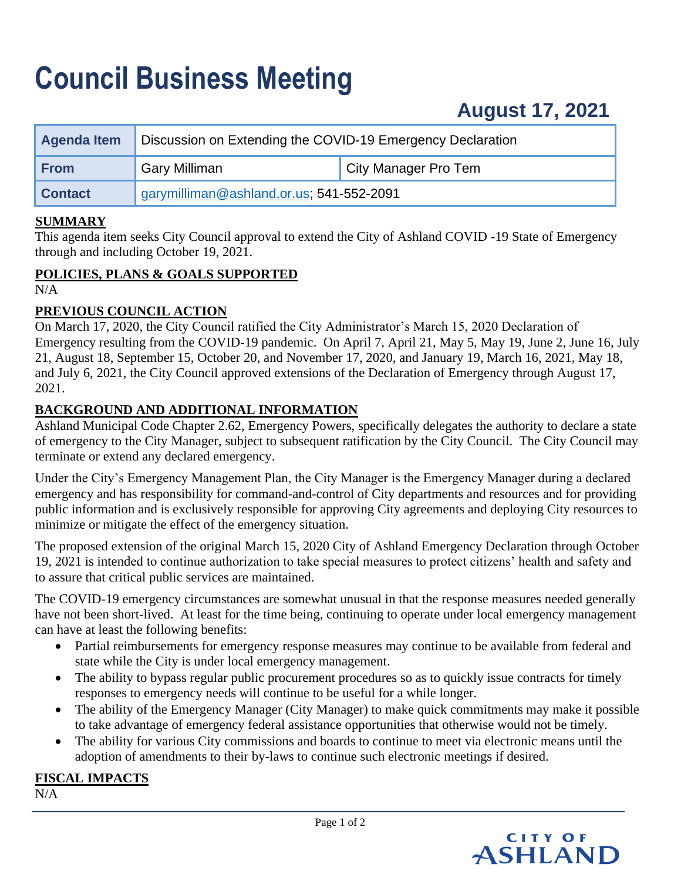## **Council Business Meeting**

| <b>Agenda Item</b> | Discussion on Extending the COVID-19 Emergency Declaration |                      |
|--------------------|------------------------------------------------------------|----------------------|
| <b>From</b>        | <b>Gary Milliman</b>                                       | City Manager Pro Tem |
| <b>Contact</b>     | garymilliman@ashland.or.us; 541-552-2091                   |                      |

#### **SUMMARY**

This agenda item seeks City Council approval to extend the City of Ashland COVID -19 State of Emergency through and including October 19, 2021.

#### **POLICIES, PLANS & GOALS SUPPORTED**

 $N/A$ 

#### **PREVIOUS COUNCIL ACTION**

On March 17, 2020, the City Council ratified the City Administrator's March 15, 2020 Declaration of Emergency resulting from the COVID-19 pandemic. On April 7, April 21, May 5, May 19, June 2, June 16, July 21, August 18, September 15, October 20, and November 17, 2020, and January 19, March 16, 2021, May 18, and July 6, 2021, the City Council approved extensions of the Declaration of Emergency through August 17, 2021.

#### **BACKGROUND AND ADDITIONAL INFORMATION**

Ashland Municipal Code Chapter 2.62, Emergency Powers, specifically delegates the authority to declare a state of emergency to the City Manager, subject to subsequent ratification by the City Council. The City Council may terminate or extend any declared emergency.

Under the City's Emergency Management Plan, the City Manager is the Emergency Manager during a declared emergency and has responsibility for command-and-control of City departments and resources and for providing public information and is exclusively responsible for approving City agreements and deploying City resources to minimize or mitigate the effect of the emergency situation.

The proposed extension of the original March 15, 2020 City of Ashland Emergency Declaration through October 19, 2021 is intended to continue authorization to take special measures to protect citizens' health and safety and to assure that critical public services are maintained.

The COVID-19 emergency circumstances are somewhat unusual in that the response measures needed generally have not been short-lived. At least for the time being, continuing to operate under local emergency management can have at least the following benefits:

- Partial reimbursements for emergency response measures may continue to be available from federal and state while the City is under local emergency management.
- The ability to bypass regular public procurement procedures so as to quickly issue contracts for timely responses to emergency needs will continue to be useful for a while longer.
- The ability of the Emergency Manager (City Manager) to make quick commitments may make it possible to take advantage of emergency federal assistance opportunities that otherwise would not be timely.
- The ability for various City commissions and boards to continue to meet via electronic means until the adoption of amendments to their by-laws to continue such electronic meetings if desired.

#### **FISCAL IMPACTS**

 $N/A$ 

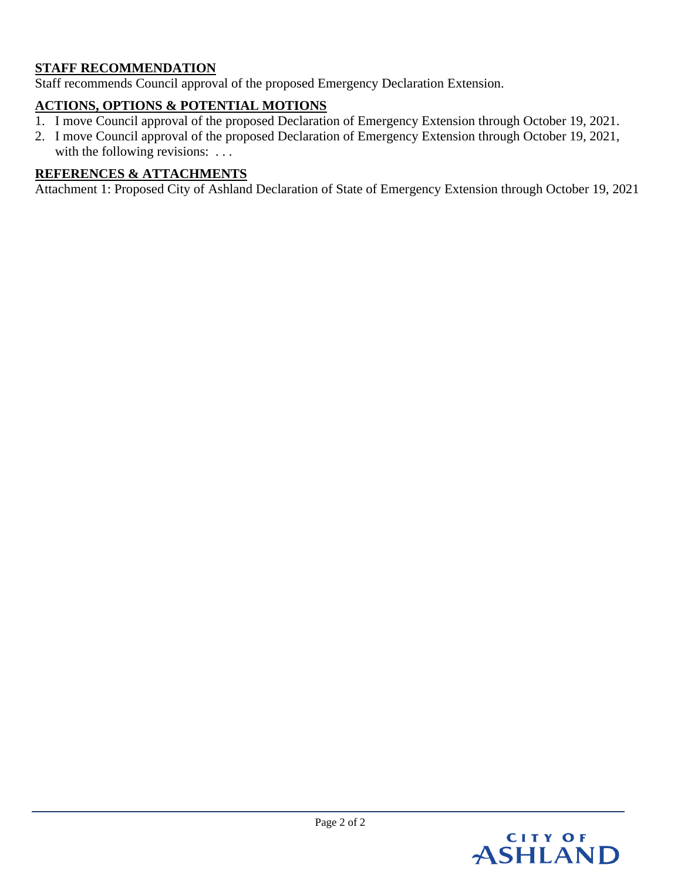### **STAFF RECOMMENDATION**

Staff recommends Council approval of the proposed Emergency Declaration Extension.

## **ACTIONS, OPTIONS & POTENTIAL MOTIONS**

- 1. I move Council approval of the proposed Declaration of Emergency Extension through October 19, 2021.
- 2. I move Council approval of the proposed Declaration of Emergency Extension through October 19, 2021, with the following revisions: ...

### **REFERENCES & ATTACHMENTS**

Attachment 1: Proposed City of Ashland Declaration of State of Emergency Extension through October 19, 2021

# CITY OF<br>ASHLAND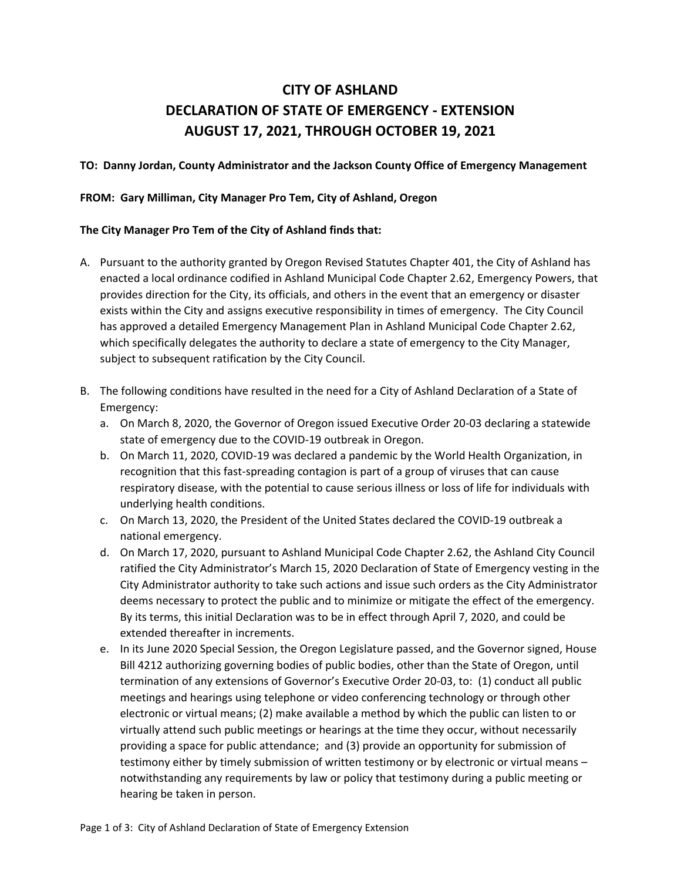## **CITY OF ASHLAND DECLARATION OF STATE OF EMERGENCY - EXTENSION AUGUST 17, 2021, THROUGH OCTOBER 19, 2021**

#### **TO: Danny Jordan, County Administrator and the Jackson County Office of Emergency Management**

#### **FROM: Gary Milliman, City Manager Pro Tem, City of Ashland, Oregon**

#### **The City Manager Pro Tem of the City of Ashland finds that:**

- A. Pursuant to the authority granted by Oregon Revised Statutes Chapter 401, the City of Ashland has enacted a local ordinance codified in Ashland Municipal Code Chapter 2.62, Emergency Powers, that provides direction for the City, its officials, and others in the event that an emergency or disaster exists within the City and assigns executive responsibility in times of emergency. The City Council has approved a detailed Emergency Management Plan in Ashland Municipal Code Chapter 2.62, which specifically delegates the authority to declare a state of emergency to the City Manager, subject to subsequent ratification by the City Council.
- B. The following conditions have resulted in the need for a City of Ashland Declaration of a State of Emergency:
	- a. On March 8, 2020, the Governor of Oregon issued Executive Order 20-03 declaring a statewide state of emergency due to the COVID-19 outbreak in Oregon.
	- b. On March 11, 2020, COVID-19 was declared a pandemic by the World Health Organization, in recognition that this fast-spreading contagion is part of a group of viruses that can cause respiratory disease, with the potential to cause serious illness or loss of life for individuals with underlying health conditions.
	- c. On March 13, 2020, the President of the United States declared the COVID-19 outbreak a national emergency.
	- d. On March 17, 2020, pursuant to Ashland Municipal Code Chapter 2.62, the Ashland City Council ratified the City Administrator's March 15, 2020 Declaration of State of Emergency vesting in the City Administrator authority to take such actions and issue such orders as the City Administrator deems necessary to protect the public and to minimize or mitigate the effect of the emergency. By its terms, this initial Declaration was to be in effect through April 7, 2020, and could be extended thereafter in increments.
	- e. In its June 2020 Special Session, the Oregon Legislature passed, and the Governor signed, House Bill 4212 authorizing governing bodies of public bodies, other than the State of Oregon, until termination of any extensions of Governor's Executive Order 20-03, to: (1) conduct all public meetings and hearings using telephone or video conferencing technology or through other electronic or virtual means; (2) make available a method by which the public can listen to or virtually attend such public meetings or hearings at the time they occur, without necessarily providing a space for public attendance; and (3) provide an opportunity for submission of testimony either by timely submission of written testimony or by electronic or virtual means – notwithstanding any requirements by law or policy that testimony during a public meeting or hearing be taken in person.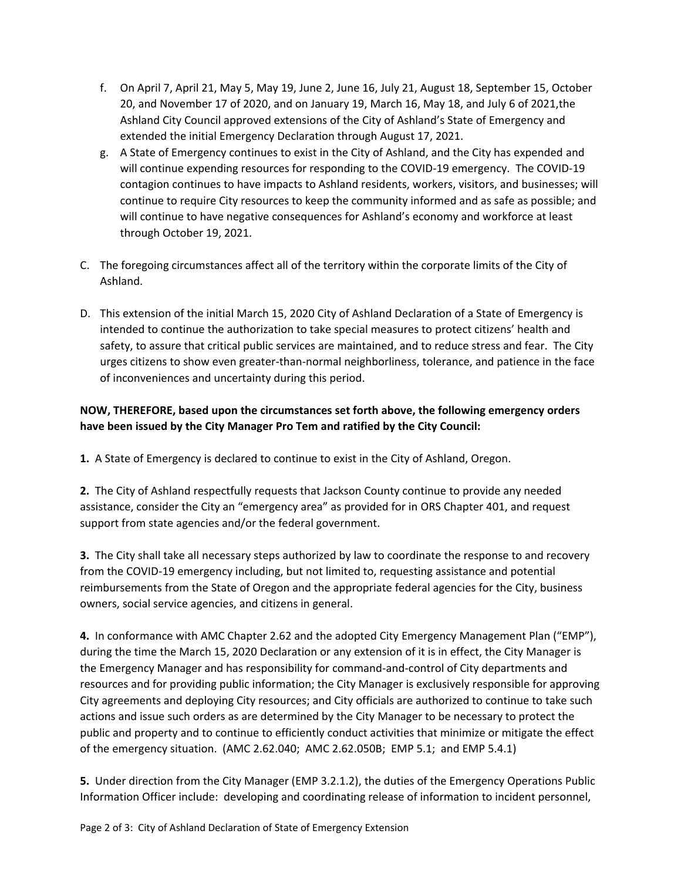- f. On April 7, April 21, May 5, May 19, June 2, June 16, July 21, August 18, September 15, October 20, and November 17 of 2020, and on January 19, March 16, May 18, and July 6 of 2021,the Ashland City Council approved extensions of the City of Ashland's State of Emergency and extended the initial Emergency Declaration through August 17, 2021.
- g. A State of Emergency continues to exist in the City of Ashland, and the City has expended and will continue expending resources for responding to the COVID-19 emergency. The COVID-19 contagion continues to have impacts to Ashland residents, workers, visitors, and businesses; will continue to require City resources to keep the community informed and as safe as possible; and will continue to have negative consequences for Ashland's economy and workforce at least through October 19, 2021.
- C. The foregoing circumstances affect all of the territory within the corporate limits of the City of Ashland.
- D. This extension of the initial March 15, 2020 City of Ashland Declaration of a State of Emergency is intended to continue the authorization to take special measures to protect citizens' health and safety, to assure that critical public services are maintained, and to reduce stress and fear. The City urges citizens to show even greater-than-normal neighborliness, tolerance, and patience in the face of inconveniences and uncertainty during this period.

#### **NOW, THEREFORE, based upon the circumstances set forth above, the following emergency orders have been issued by the City Manager Pro Tem and ratified by the City Council:**

**1.** A State of Emergency is declared to continue to exist in the City of Ashland, Oregon.

**2.** The City of Ashland respectfully requests that Jackson County continue to provide any needed assistance, consider the City an "emergency area" as provided for in ORS Chapter 401, and request support from state agencies and/or the federal government.

**3.** The City shall take all necessary steps authorized by law to coordinate the response to and recovery from the COVID-19 emergency including, but not limited to, requesting assistance and potential reimbursements from the State of Oregon and the appropriate federal agencies for the City, business owners, social service agencies, and citizens in general.

**4.** In conformance with AMC Chapter 2.62 and the adopted City Emergency Management Plan ("EMP"), during the time the March 15, 2020 Declaration or any extension of it is in effect, the City Manager is the Emergency Manager and has responsibility for command-and-control of City departments and resources and for providing public information; the City Manager is exclusively responsible for approving City agreements and deploying City resources; and City officials are authorized to continue to take such actions and issue such orders as are determined by the City Manager to be necessary to protect the public and property and to continue to efficiently conduct activities that minimize or mitigate the effect of the emergency situation. (AMC 2.62.040; AMC 2.62.050B; EMP 5.1; and EMP 5.4.1)

**5.** Under direction from the City Manager (EMP 3.2.1.2), the duties of the Emergency Operations Public Information Officer include: developing and coordinating release of information to incident personnel,